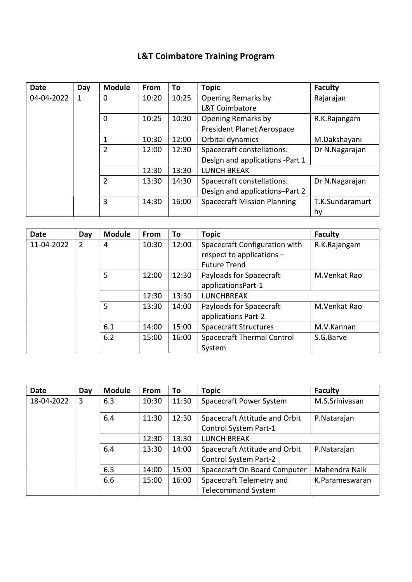## L&T Coimbatore Training Program

| <b>Date</b> | Day | <b>Module</b>  | <b>From</b> | To    | <b>Topic</b>                       | <b>Faculty</b>  |
|-------------|-----|----------------|-------------|-------|------------------------------------|-----------------|
| 04-04-2022  | 1   | 0              | 10:20       | 10:25 | Opening Remarks by                 | Rajarajan       |
|             |     |                |             |       | <b>L&amp;T Coimbatore</b>          |                 |
|             |     | 0              | 10:25       | 10:30 | <b>Opening Remarks by</b>          | R.K.Rajangam    |
|             |     |                |             |       | President Planet Aerospace         |                 |
|             |     | 1              | 10:30       | 12:00 | Orbital dynamics                   | M.Dakshayani    |
|             |     | $\overline{2}$ | 12:00       | 12:30 | Spacecraft constellations:         | Dr N.Nagarajan  |
|             |     |                |             |       | Design and applications -Part 1    |                 |
|             |     |                | 12:30       | 13:30 | <b>LUNCH BREAK</b>                 |                 |
|             |     | 2              | 13:30       | 14:30 | Spacecraft constellations:         | Dr N.Nagarajan  |
|             |     |                |             |       | Design and applications-Part 2     |                 |
|             |     | 3              | 14:30       | 16:00 | <b>Spacecraft Mission Planning</b> | T.K.Sundaramurt |
|             |     |                |             |       |                                    | hy              |

| <b>Date</b> | Day           | <b>Module</b>  | From  | To    | <b>Topic</b>                      | <b>Faculty</b> |
|-------------|---------------|----------------|-------|-------|-----------------------------------|----------------|
| 11-04-2022  | $\mathcal{P}$ | $\overline{4}$ | 10:30 | 12:00 | Spacecraft Configuration with     | R.K.Rajangam   |
|             |               |                |       |       | respect to applications -         |                |
|             |               |                |       |       | <b>Future Trend</b>               |                |
|             |               | 5              | 12:00 | 12:30 | Payloads for Spacecraft           | M.Venkat Rao   |
|             |               |                |       |       | applicationsPart-1                |                |
|             |               |                | 12:30 | 13:30 | <b>LUNCHBREAK</b>                 |                |
|             |               | 5              | 13:30 | 14:00 | Payloads for Spacecraft           | M.Venkat Rao   |
|             |               |                |       |       | applications Part-2               |                |
|             |               | 6.1            | 14:00 | 15:00 | <b>Spacecraft Structures</b>      | M.V.Kannan     |
|             |               | 6.2            | 15:00 | 16:00 | <b>Spacecraft Thermal Control</b> | S.G.Barve      |
|             |               |                |       |       | System                            |                |

| Date       | Day | <b>Module</b> | From  | To    | <b>Topic</b>                  | <b>Faculty</b> |
|------------|-----|---------------|-------|-------|-------------------------------|----------------|
| 18-04-2022 | 3   | 6.3           | 10:30 | 11:30 | Spacecraft Power System       | M.S.Srinivasan |
|            |     | 6.4           | 11:30 | 12:30 | Spacecraft Attitude and Orbit | P.Natarajan    |
|            |     |               |       |       | Control System Part-1         |                |
|            |     |               | 12:30 | 13:30 | <b>LUNCH BREAK</b>            |                |
|            |     | 6.4           | 13:30 | 14:00 | Spacecraft Attitude and Orbit | P.Natarajan    |
|            |     |               |       |       | <b>Control System Part-2</b>  |                |
|            |     | 6.5           | 14:00 | 15:00 | Spacecraft On Board Computer  | Mahendra Naik  |
|            |     | 6.6           | 15:00 | 16:00 | Spacecraft Telemetry and      | K.Parameswaran |
|            |     |               |       |       | <b>Telecommand System</b>     |                |